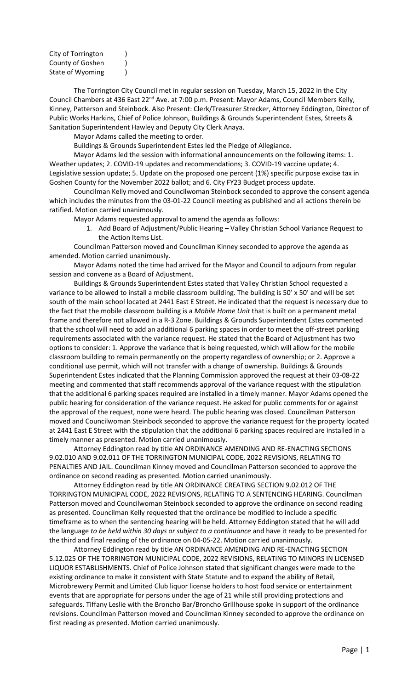City of Torrington ) County of Goshen (1) State of Wyoming (1)

The Torrington City Council met in regular session on Tuesday, March 15, 2022 in the City Council Chambers at 436 East 22<sup>nd</sup> Ave. at 7:00 p.m. Present: Mayor Adams, Council Members Kelly, Kinney, Patterson and Steinbock. Also Present: Clerk/Treasurer Strecker, Attorney Eddington, Director of Public Works Harkins, Chief of Police Johnson, Buildings & Grounds Superintendent Estes, Streets & Sanitation Superintendent Hawley and Deputy City Clerk Anaya.

Mayor Adams called the meeting to order.

Buildings & Grounds Superintendent Estes led the Pledge of Allegiance.

Mayor Adams led the session with informational announcements on the following items: 1. Weather updates; 2. COVID-19 updates and recommendations; 3. COVID-19 vaccine update; 4. Legislative session update; 5. Update on the proposed one percent (1%) specific purpose excise tax in Goshen County for the November 2022 ballot; and 6. City FY23 Budget process update.

Councilman Kelly moved and Councilwoman Steinbock seconded to approve the consent agenda which includes the minutes from the 03-01-22 Council meeting as published and all actions therein be ratified. Motion carried unanimously.

Mayor Adams requested approval to amend the agenda as follows:

1. Add Board of Adjustment/Public Hearing – Valley Christian School Variance Request to the Action Items List.

Councilman Patterson moved and Councilman Kinney seconded to approve the agenda as amended. Motion carried unanimously.

Mayor Adams noted the time had arrived for the Mayor and Council to adjourn from regular session and convene as a Board of Adjustment.

Buildings & Grounds Superintendent Estes stated that Valley Christian School requested a variance to be allowed to install a mobile classroom building. The building is 50' x 50' and will be set south of the main school located at 2441 East E Street. He indicated that the request is necessary due to the fact that the mobile classroom building is a *Mobile Home Unit* that is built on a permanent metal frame and therefore not allowed in a R-3 Zone. Buildings & Grounds Superintendent Estes commented that the school will need to add an additional 6 parking spaces in order to meet the off-street parking requirements associated with the variance request. He stated that the Board of Adjustment has two options to consider: 1. Approve the variance that is being requested, which will allow for the mobile classroom building to remain permanently on the property regardless of ownership; or 2. Approve a conditional use permit, which will not transfer with a change of ownership. Buildings & Grounds Superintendent Estes indicated that the Planning Commission approved the request at their 03-08-22 meeting and commented that staff recommends approval of the variance request with the stipulation that the additional 6 parking spaces required are installed in a timely manner. Mayor Adams opened the public hearing for consideration of the variance request. He asked for public comments for or against the approval of the request, none were heard. The public hearing was closed. Councilman Patterson moved and Councilwoman Steinbock seconded to approve the variance request for the property located at 2441 East E Street with the stipulation that the additional 6 parking spaces required are installed in a timely manner as presented. Motion carried unanimously.

Attorney Eddington read by title AN ORDINANCE AMENDING AND RE-ENACTING SECTIONS 9.02.010 AND 9.02.011 OF THE TORRINGTON MUNICIPAL CODE, 2022 REVISIONS, RELATING TO PENALTIES AND JAIL. Councilman Kinney moved and Councilman Patterson seconded to approve the ordinance on second reading as presented. Motion carried unanimously.

Attorney Eddington read by title AN ORDINANCE CREATING SECTION 9.02.012 OF THE TORRINGTON MUNICIPAL CODE, 2022 REVISIONS, RELATING TO A SENTENCING HEARING. Councilman Patterson moved and Councilwoman Steinbock seconded to approve the ordinance on second reading as presented. Councilman Kelly requested that the ordinance be modified to include a specific timeframe as to when the sentencing hearing will be held. Attorney Eddington stated that he will add the language *to be held within 30 days or subject to a continuance* and have it ready to be presented for the third and final reading of the ordinance on 04-05-22. Motion carried unanimously.

Attorney Eddington read by title AN ORDINANCE AMENDING AND RE-ENACTING SECTION 5.12.025 OF THE TORRINGTON MUNICIPAL CODE, 2022 REVISIONS, RELATING TO MINORS IN LICENSED LIQUOR ESTABLISHMENTS. Chief of Police Johnson stated that significant changes were made to the existing ordinance to make it consistent with State Statute and to expand the ability of Retail, Microbrewery Permit and Limited Club liquor license holders to host food service or entertainment events that are appropriate for persons under the age of 21 while still providing protections and safeguards. Tiffany Leslie with the Broncho Bar/Broncho Grillhouse spoke in support of the ordinance revisions. Councilman Patterson moved and Councilman Kinney seconded to approve the ordinance on first reading as presented. Motion carried unanimously.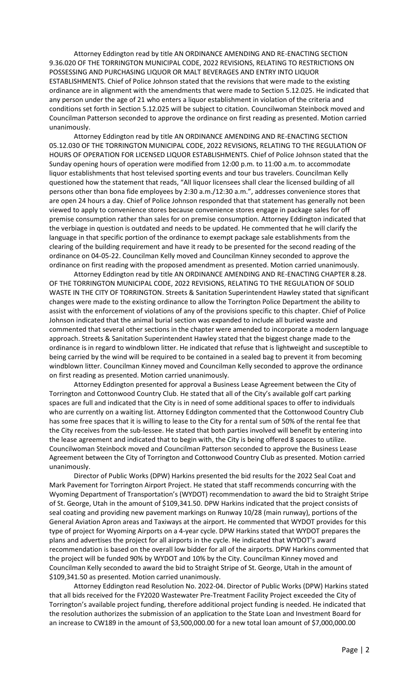Attorney Eddington read by title AN ORDINANCE AMENDING AND RE-ENACTING SECTION 9.36.020 OF THE TORRINGTON MUNICIPAL CODE, 2022 REVISIONS, RELATING TO RESTRICTIONS ON POSSESSING AND PURCHASING LIQUOR OR MALT BEVERAGES AND ENTRY INTO LIQUOR ESTABLISHMENTS. Chief of Police Johnson stated that the revisions that were made to the existing ordinance are in alignment with the amendments that were made to Section 5.12.025. He indicated that any person under the age of 21 who enters a liquor establishment in violation of the criteria and conditions set forth in Section 5.12.025 will be subject to citation. Councilwoman Steinbock moved and Councilman Patterson seconded to approve the ordinance on first reading as presented. Motion carried unanimously.

Attorney Eddington read by title AN ORDINANCE AMENDING AND RE-ENACTING SECTION 05.12.030 OF THE TORRINGTON MUNICIPAL CODE, 2022 REVISIONS, RELATING TO THE REGULATION OF HOURS OF OPERATION FOR LICENSED LIQUOR ESTABLISHMENTS. Chief of Police Johnson stated that the Sunday opening hours of operation were modified from 12:00 p.m. to 11:00 a.m. to accommodate liquor establishments that host televised sporting events and tour bus travelers. Councilman Kelly questioned how the statement that reads, "All liquor licensees shall clear the licensed building of all persons other than bona fide employees by 2:30 a.m./12:30 a.m.", addresses convenience stores that are open 24 hours a day. Chief of Police Johnson responded that that statement has generally not been viewed to apply to convenience stores because convenience stores engage in package sales for off premise consumption rather than sales for on premise consumption. Attorney Eddington indicated that the verbiage in question is outdated and needs to be updated. He commented that he will clarify the language in that specific portion of the ordinance to exempt package sale establishments from the clearing of the building requirement and have it ready to be presented for the second reading of the ordinance on 04-05-22. Councilman Kelly moved and Councilman Kinney seconded to approve the ordinance on first reading with the proposed amendment as presented. Motion carried unanimously.

Attorney Eddington read by title AN ORDINANCE AMENDING AND RE-ENACTING CHAPTER 8.28. OF THE TORRINGTON MUNICIPAL CODE, 2022 REVISIONS, RELATING TO THE REGULATION OF SOLID WASTE IN THE CITY OF TORRINGTON. Streets & Sanitation Superintendent Hawley stated that significant changes were made to the existing ordinance to allow the Torrington Police Department the ability to assist with the enforcement of violations of any of the provisions specific to this chapter. Chief of Police Johnson indicated that the animal burial section was expanded to include all buried waste and commented that several other sections in the chapter were amended to incorporate a modern language approach. Streets & Sanitation Superintendent Hawley stated that the biggest change made to the ordinance is in regard to windblown litter. He indicated that refuse that is lightweight and susceptible to being carried by the wind will be required to be contained in a sealed bag to prevent it from becoming windblown litter. Councilman Kinney moved and Councilman Kelly seconded to approve the ordinance on first reading as presented. Motion carried unanimously.

Attorney Eddington presented for approval a Business Lease Agreement between the City of Torrington and Cottonwood Country Club. He stated that all of the City's available golf cart parking spaces are full and indicated that the City is in need of some additional spaces to offer to individuals who are currently on a waiting list. Attorney Eddington commented that the Cottonwood Country Club has some free spaces that it is willing to lease to the City for a rental sum of 50% of the rental fee that the City receives from the sub-lessee. He stated that both parties involved will benefit by entering into the lease agreement and indicated that to begin with, the City is being offered 8 spaces to utilize. Councilwoman Steinbock moved and Councilman Patterson seconded to approve the Business Lease Agreement between the City of Torrington and Cottonwood Country Club as presented. Motion carried unanimously.

Director of Public Works (DPW) Harkins presented the bid results for the 2022 Seal Coat and Mark Pavement for Torrington Airport Project. He stated that staff recommends concurring with the Wyoming Department of Transportation's (WYDOT) recommendation to award the bid to Straight Stripe of St. George, Utah in the amount of \$109,341.50. DPW Harkins indicated that the project consists of seal coating and providing new pavement markings on Runway 10/28 (main runway), portions of the General Aviation Apron areas and Taxiways at the airport. He commented that WYDOT provides for this type of project for Wyoming Airports on a 4-year cycle. DPW Harkins stated that WYDOT prepares the plans and advertises the project for all airports in the cycle. He indicated that WYDOT's award recommendation is based on the overall low bidder for all of the airports. DPW Harkins commented that the project will be funded 90% by WYDOT and 10% by the City. Councilman Kinney moved and Councilman Kelly seconded to award the bid to Straight Stripe of St. George, Utah in the amount of \$109,341.50 as presented. Motion carried unanimously.

Attorney Eddington read Resolution No. 2022-04. Director of Public Works (DPW) Harkins stated that all bids received for the FY2020 Wastewater Pre-Treatment Facility Project exceeded the City of Torrington's available project funding, therefore additional project funding is needed. He indicated that the resolution authorizes the submission of an application to the State Loan and Investment Board for an increase to CW189 in the amount of \$3,500,000.00 for a new total loan amount of \$7,000,000.00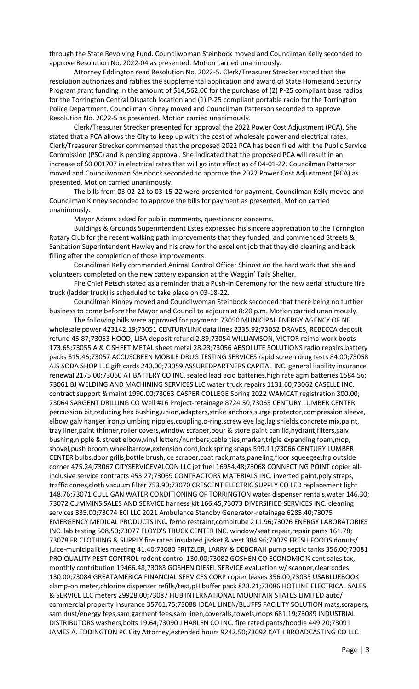through the State Revolving Fund. Councilwoman Steinbock moved and Councilman Kelly seconded to approve Resolution No. 2022-04 as presented. Motion carried unanimously.

Attorney Eddington read Resolution No. 2022-5. Clerk/Treasurer Strecker stated that the resolution authorizes and ratifies the supplemental application and award of State Homeland Security Program grant funding in the amount of \$14,562.00 for the purchase of (2) P-25 compliant base radios for the Torrington Central Dispatch location and (1) P-25 compliant portable radio for the Torrington Police Department. Councilman Kinney moved and Councilman Patterson seconded to approve Resolution No. 2022-5 as presented. Motion carried unanimously.

Clerk/Treasurer Strecker presented for approval the 2022 Power Cost Adjustment (PCA). She stated that a PCA allows the City to keep up with the cost of wholesale power and electrical rates. Clerk/Treasurer Strecker commented that the proposed 2022 PCA has been filed with the Public Service Commission (PSC) and is pending approval. She indicated that the proposed PCA will result in an increase of \$0.001707 in electrical rates that will go into effect as of 04-01-22. Councilman Patterson moved and Councilwoman Steinbock seconded to approve the 2022 Power Cost Adjustment (PCA) as presented. Motion carried unanimously.

The bills from 03-02-22 to 03-15-22 were presented for payment. Councilman Kelly moved and Councilman Kinney seconded to approve the bills for payment as presented. Motion carried unanimously.

Mayor Adams asked for public comments, questions or concerns.

Buildings & Grounds Superintendent Estes expressed his sincere appreciation to the Torrington Rotary Club for the recent walking path improvements that they funded, and commended Streets & Sanitation Superintendent Hawley and his crew for the excellent job that they did cleaning and back filling after the completion of those improvements.

Councilman Kelly commended Animal Control Officer Shinost on the hard work that she and volunteers completed on the new cattery expansion at the Waggin' Tails Shelter.

Fire Chief Petsch stated as a reminder that a Push-In Ceremony for the new aerial structure fire truck (ladder truck) is scheduled to take place on 03-18-22.

Councilman Kinney moved and Councilwoman Steinbock seconded that there being no further business to come before the Mayor and Council to adjourn at 8:20 p.m. Motion carried unanimously.

The following bills were approved for payment: 73050 MUNICIPAL ENERGY AGENCY OF NE wholesale power 423142.19;73051 CENTURYLINK data lines 2335.92;73052 DRAVES, REBECCA deposit refund 45.87;73053 HOOD, LISA deposit refund 2.89;73054 WILLIAMSON, VICTOR reimb-work boots 173.65;73055 A & C SHEET METAL sheet metal 28.23;73056 ABSOLUTE SOLUTIONS radio repairs,battery packs 615.46;73057 ACCUSCREEN MOBILE DRUG TESTING SERVICES rapid screen drug tests 84.00;73058 AJS SODA SHOP LLC gift cards 240.00;73059 ASSUREDPARTNERS CAPITAL INC. general liability insurance renewal 2175.00;73060 AT BATTERY CO INC. sealed lead acid batteries,high rate agm batteries 1584.56; 73061 BJ WELDING AND MACHINING SERVICES LLC water truck repairs 1131.60;73062 CASELLE INC. contract support & maint 1990.00;73063 CASPER COLLEGE Spring 2022 WAMCAT registration 300.00; 73064 SARGENT DRILLING CO Well #16 Project-retainage 8724.50;73065 CENTURY LUMBER CENTER percussion bit,reducing hex bushing,union,adapters,strike anchors,surge protector,compression sleeve, elbow,galv hanger iron,plumbing nipples,coupling,o-ring,screw eye lag,lag shields,concrete mix,paint, tray liner,paint thinner,roller covers,window scraper,pour & store paint can lid,hydrant,filters,galv bushing,nipple & street elbow,vinyl letters/numbers,cable ties,marker,triple expanding foam,mop, shovel,push broom,wheelbarrow,extension cord,lock spring snaps 599.11;73066 CENTURY LUMBER CENTER bulbs,door grills,bottle brush,ice scraper,coat rack,mats,paneling,floor squeegee,frp outside corner 475.24;73067 CITYSERVICEVALCON LLC jet fuel 16954.48;73068 CONNECTING POINT copier allinclusive service contracts 453.27;73069 CONTRACTORS MATERIALS INC. inverted paint,poly straps, traffic cones,cloth vacuum filter 753.90;73070 CRESCENT ELECTRIC SUPPLY CO LED replacement light 148.76;73071 CULLIGAN WATER CONDITIONING OF TORRINGTON water dispenser rentals,water 146.30; 73072 CUMMINS SALES AND SERVICE harness kit 166.45;73073 DIVERSIFIED SERVICES INC. cleaning services 335.00;73074 ECI LLC 2021 Ambulance Standby Generator-retainage 6285.40;73075 EMERGENCY MEDICAL PRODUCTS INC. ferno restraint,combitube 211.96;73076 ENERGY LABORATORIES INC. lab testing 508.50;73077 FLOYD'S TRUCK CENTER INC. window/seat repair,repair parts 161.78; 73078 FR CLOTHING & SUPPLY fire rated insulated jacket & vest 384.96;73079 FRESH FOODS donuts/ juice-municipalities meeting 41.40;73080 FRITZLER, LARRY & DEBORAH pump septic tanks 356.00;73081 PRO QUALITY PEST CONTROL rodent control 130.00;73082 GOSHEN CO ECONOMIC ¼ cent sales tax, monthly contribution 19466.48;73083 GOSHEN DIESEL SERVICE evaluation w/ scanner,clear codes 130.00;73084 GREATAMERICA FINANCIAL SERVICES CORP copier leases 356.00;73085 USABLUEBOOK clamp-on meter,chlorine dispenser refills/test,pH buffer pack 828.21;73086 HOTLINE ELECTRICAL SALES & SERVICE LLC meters 29928.00;73087 HUB INTERNATIONAL MOUNTAIN STATES LIMITED auto/ commercial property insurance 35761.75;73088 IDEAL LINEN/BLUFFS FACILITY SOLUTION mats,scrapers, sam dust/energy fees,sam garment fees,sam linen,coveralls,towels,mops 681.19;73089 INDUSTRIAL DISTRIBUTORS washers,bolts 19.64;73090 J HARLEN CO INC. fire rated pants/hoodie 449.20;73091 JAMES A. EDDINGTON PC City Attorney,extended hours 9242.50;73092 KATH BROADCASTING CO LLC